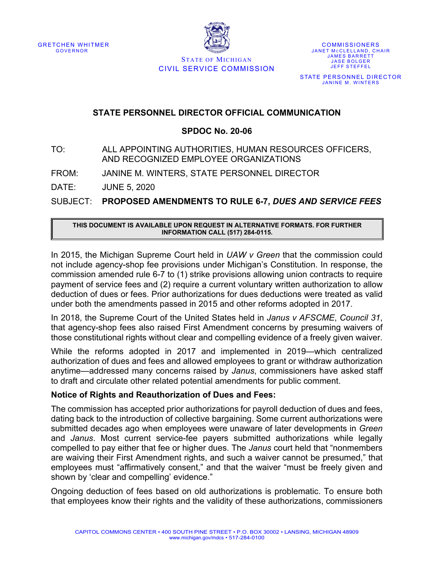

**COMMISSIONERS** JANET MCCLELLAND, CHAIR JAMES BARRETT JASE BOLGER JEFF STEFFEL STATE PERSONNEL DIRECTOR JANINE M. WINTERS

### STATE OF MICHIGAN CIVIL SERVICE COMMISSION

### **STATE PERSONNEL DIRECTOR OFFICIAL COMMUNICATION**

#### **SPDOC No. 20-06**

### TO: ALL APPOINTING AUTHORITIES, HUMAN RESOURCES OFFICERS, AND RECOGNIZED EMPLOYEE ORGANIZATIONS

FROM: JANINE M. WINTERS, STATE PERSONNEL DIRECTOR

DATE: JUNE 5, 2020

SUBJECT: **PROPOSED AMENDMENTS TO RULE 6-7,** *DUES AND SERVICE FEES*

#### **THIS DOCUMENT IS AVAILABLE UPON REQUEST IN ALTERNATIVE FORMATS. FOR FURTHER INFORMATION CALL (517) 284-0115.**

In 2015, the Michigan Supreme Court held in *UAW v Green* that the commission could not include agency-shop fee provisions under Michigan's Constitution. In response, the commission amended rule 6-7 to (1) strike provisions allowing union contracts to require payment of service fees and (2) require a current voluntary written authorization to allow deduction of dues or fees. Prior authorizations for dues deductions were treated as valid under both the amendments passed in 2015 and other reforms adopted in 2017.

In 2018, the Supreme Court of the United States held in *Janus v AFSCME*, *Council 31*, that agency-shop fees also raised First Amendment concerns by presuming waivers of those constitutional rights without clear and compelling evidence of a freely given waiver.

While the reforms adopted in 2017 and implemented in 2019—which centralized authorization of dues and fees and allowed employees to grant or withdraw authorization anytime—addressed many concerns raised by *Janus*, commissioners have asked staff to draft and circulate other related potential amendments for public comment.

#### **Notice of Rights and Reauthorization of Dues and Fees:**

The commission has accepted prior authorizations for payroll deduction of dues and fees, dating back to the introduction of collective bargaining. Some current authorizations were submitted decades ago when employees were unaware of later developments in *Green* and *Janus*. Most current service-fee payers submitted authorizations while legally compelled to pay either that fee or higher dues. The *Janus* court held that "nonmembers are waiving their First Amendment rights, and such a waiver cannot be presumed," that employees must "affirmatively consent," and that the waiver "must be freely given and shown by 'clear and compelling' evidence."

Ongoing deduction of fees based on old authorizations is problematic. To ensure both that employees know their rights and the validity of these authorizations, commissioners